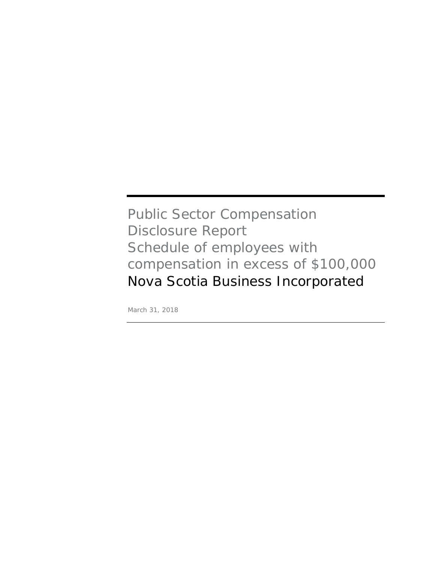## Public Sector Compensation Disclosure Report Schedule of employees with compensation in excess of \$100,000 Nova Scotia Business Incorporated

March 31, 2018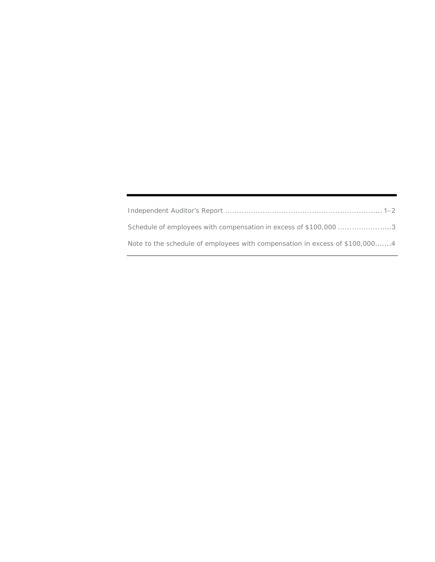| Schedule of employees with compensation in excess of \$100,000 3            |
|-----------------------------------------------------------------------------|
| Note to the schedule of employees with compensation in excess of \$100,0004 |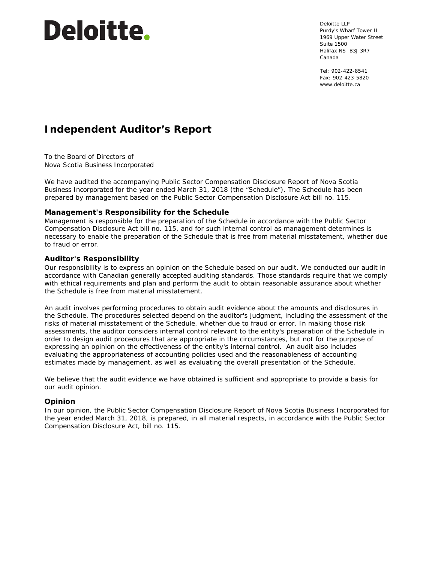# **Deloitte.**

Deloitte LLP Purdy's Wharf Tower II 1969 Upper Water Street Suite 1500 Halifax NS B3J 3R7 Canada

Tel: 902-422-8541 Fax: 902-423-5820 www.deloitte.ca

### **Independent Auditor's Report**

To the Board of Directors of Nova Scotia Business Incorporated

We have audited the accompanying Public Sector Compensation Disclosure Report of Nova Scotia Business Incorporated for the year ended March 31, 2018 (the "Schedule"). The Schedule has been prepared by management based on the Public Sector Compensation Disclosure Act bill no. 115.

#### **Management's Responsibility for the Schedule**

Management is responsible for the preparation of the Schedule in accordance with the Public Sector Compensation Disclosure Act bill no. 115, and for such internal control as management determines is necessary to enable the preparation of the Schedule that is free from material misstatement, whether due to fraud or error.

#### **Auditor's Responsibility**

Our responsibility is to express an opinion on the Schedule based on our audit. We conducted our audit in accordance with Canadian generally accepted auditing standards. Those standards require that we comply with ethical requirements and plan and perform the audit to obtain reasonable assurance about whether the Schedule is free from material misstatement.

An audit involves performing procedures to obtain audit evidence about the amounts and disclosures in the Schedule. The procedures selected depend on the auditor's judgment, including the assessment of the risks of material misstatement of the Schedule, whether due to fraud or error. In making those risk assessments, the auditor considers internal control relevant to the entity's preparation of the Schedule in order to design audit procedures that are appropriate in the circumstances, but not for the purpose of expressing an opinion on the effectiveness of the entity's internal control. An audit also includes evaluating the appropriateness of accounting policies used and the reasonableness of accounting estimates made by management, as well as evaluating the overall presentation of the Schedule.

We believe that the audit evidence we have obtained is sufficient and appropriate to provide a basis for our audit opinion.

#### **Opinion**

In our opinion, the Public Sector Compensation Disclosure Report of Nova Scotia Business Incorporated for the year ended March 31, 2018, is prepared, in all material respects, in accordance with the Public Sector Compensation Disclosure Act, bill no. 115.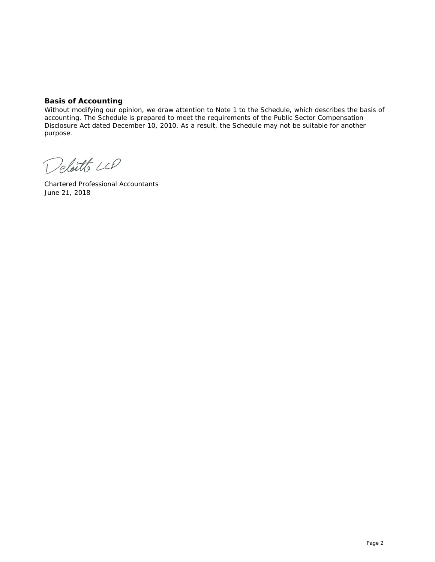#### **Basis of Accounting**

Without modifying our opinion, we draw attention to Note 1 to the Schedule, which describes the basis of accounting. The Schedule is prepared to meet the requirements of the Public Sector Compensation Disclosure Act dated December 10, 2010. As a result, the Schedule may not be suitable for another purpose.

Delaitte LLP

Chartered Professional Accountants June 21, 2018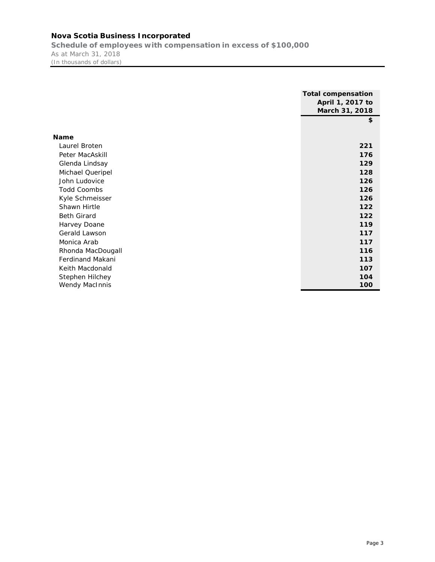#### **Nova Scotia Business Incorporated**

**Schedule of employees with compensation in excess of \$100,000**  As at March 31, 2018 (In thousands of dollars)

|                         | <b>Total compensation</b> |
|-------------------------|---------------------------|
|                         | April 1, 2017 to          |
|                         | March 31, 2018            |
|                         | \$                        |
|                         |                           |
| Name                    |                           |
| Laurel Broten           | 221                       |
| Peter MacAskill         | 176                       |
| Glenda Lindsay          | 129                       |
| Michael Queripel        | 128                       |
| John Ludovice           | 126                       |
| <b>Todd Coombs</b>      | 126                       |
| Kyle Schmeisser         | 126                       |
| Shawn Hirtle            | 122                       |
| <b>Beth Girard</b>      | 122                       |
| Harvey Doane            | 119                       |
| Gerald Lawson           | 117                       |
| Monica Arab             | 117                       |
| Rhonda MacDougall       | 116                       |
| <b>Ferdinand Makani</b> | 113                       |
| Keith Macdonald         | 107                       |
| Stephen Hilchey         | 104                       |
| <b>Wendy MacInnis</b>   | 100                       |